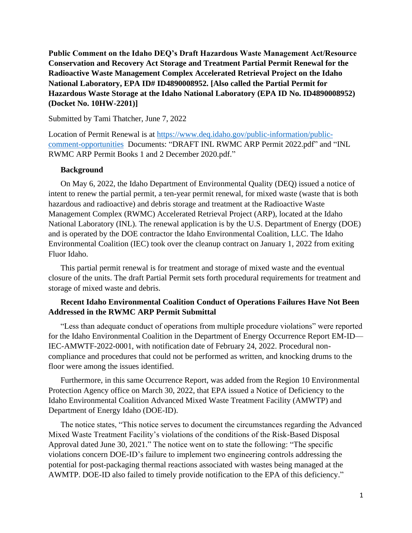**Public Comment on the Idaho DEQ's Draft Hazardous Waste Management Act/Resource Conservation and Recovery Act Storage and Treatment Partial Permit Renewal for the Radioactive Waste Management Complex Accelerated Retrieval Project on the Idaho National Laboratory, EPA ID# ID4890008952. [Also called the Partial Permit for Hazardous Waste Storage at the Idaho National Laboratory (EPA ID No. ID4890008952) (Docket No. 10HW-2201)]**

#### Submitted by Tami Thatcher, June 7, 2022

Location of Permit Renewal is at [https://www.deq.idaho.gov/public-information/public](https://www.deq.idaho.gov/public-information/public-comment-opportunities)[comment-opportunities](https://www.deq.idaho.gov/public-information/public-comment-opportunities) Documents: "DRAFT INL RWMC ARP Permit 2022.pdf" and "INL RWMC ARP Permit Books 1 and 2 December 2020.pdf."

#### **Background**

On May 6, 2022, the Idaho Department of Environmental Quality (DEQ) issued a notice of intent to renew the partial permit, a ten-year permit renewal, for mixed waste (waste that is both hazardous and radioactive) and debris storage and treatment at the Radioactive Waste Management Complex (RWMC) Accelerated Retrieval Project (ARP), located at the Idaho National Laboratory (INL). The renewal application is by the U.S. Department of Energy (DOE) and is operated by the DOE contractor the Idaho Environmental Coalition, LLC. The Idaho Environmental Coalition (IEC) took over the cleanup contract on January 1, 2022 from exiting Fluor Idaho.

This partial permit renewal is for treatment and storage of mixed waste and the eventual closure of the units. The draft Partial Permit sets forth procedural requirements for treatment and storage of mixed waste and debris.

### **Recent Idaho Environmental Coalition Conduct of Operations Failures Have Not Been Addressed in the RWMC ARP Permit Submittal**

"Less than adequate conduct of operations from multiple procedure violations" were reported for the Idaho Environmental Coalition in the Department of Energy Occurrence Report EM-ID— IEC-AMWTF-2022-0001, with notification date of February 24, 2022. Procedural noncompliance and procedures that could not be performed as written, and knocking drums to the floor were among the issues identified.

Furthermore, in this same Occurrence Report, was added from the Region 10 Environmental Protection Agency office on March 30, 2022, that EPA issued a Notice of Deficiency to the Idaho Environmental Coalition Advanced Mixed Waste Treatment Facility (AMWTP) and Department of Energy Idaho (DOE-ID).

The notice states, "This notice serves to document the circumstances regarding the Advanced Mixed Waste Treatment Facility's violations of the conditions of the Risk-Based Disposal Approval dated June 30, 2021." The notice went on to state the following: "The specific violations concern DOE-ID's failure to implement two engineering controls addressing the potential for post-packaging thermal reactions associated with wastes being managed at the AWMTP. DOE-ID also failed to timely provide notification to the EPA of this deficiency."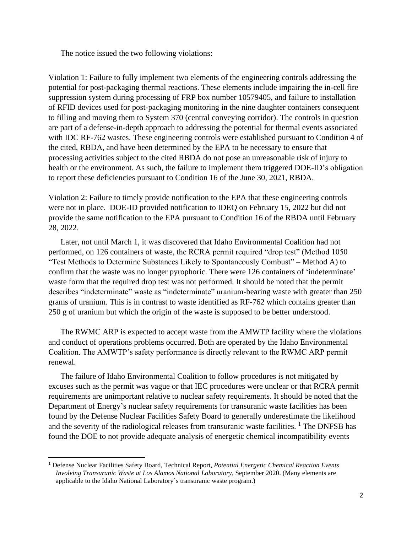The notice issued the two following violations:

Violation 1: Failure to fully implement two elements of the engineering controls addressing the potential for post-packaging thermal reactions. These elements include impairing the in-cell fire suppression system during processing of FRP box number 10579405, and failure to installation of RFID devices used for post-packaging monitoring in the nine daughter containers consequent to filling and moving them to System 370 (central conveying corridor). The controls in question are part of a defense-in-depth approach to addressing the potential for thermal events associated with IDC RF-762 wastes. These engineering controls were established pursuant to Condition 4 of the cited, RBDA, and have been determined by the EPA to be necessary to ensure that processing activities subject to the cited RBDA do not pose an unreasonable risk of injury to health or the environment. As such, the failure to implement them triggered DOE-ID's obligation to report these deficiencies pursuant to Condition 16 of the June 30, 2021, RBDA.

Violation 2: Failure to timely provide notification to the EPA that these engineering controls were not in place. DOE-ID provided notification to IDEQ on February 15, 2022 but did not provide the same notification to the EPA pursuant to Condition 16 of the RBDA until February 28, 2022.

Later, not until March 1, it was discovered that Idaho Environmental Coalition had not performed, on 126 containers of waste, the RCRA permit required "drop test" (Method 1050 "Test Methods to Determine Substances Likely to Spontaneously Combust" – Method A) to confirm that the waste was no longer pyrophoric. There were 126 containers of 'indeterminate' waste form that the required drop test was not performed. It should be noted that the permit describes "indeterminate" waste as "indeterminate" uranium-bearing waste with greater than 250 grams of uranium. This is in contrast to waste identified as RF-762 which contains greater than 250 g of uranium but which the origin of the waste is supposed to be better understood.

 The RWMC ARP is expected to accept waste from the AMWTP facility where the violations and conduct of operations problems occurred. Both are operated by the Idaho Environmental Coalition. The AMWTP's safety performance is directly relevant to the RWMC ARP permit renewal.

The failure of Idaho Environmental Coalition to follow procedures is not mitigated by excuses such as the permit was vague or that IEC procedures were unclear or that RCRA permit requirements are unimportant relative to nuclear safety requirements. It should be noted that the Department of Energy's nuclear safety requirements for transuranic waste facilities has been found by the Defense Nuclear Facilities Safety Board to generally underestimate the likelihood and the severity of the radiological releases from transuranic waste facilities. <sup>1</sup> The DNFSB has found the DOE to not provide adequate analysis of energetic chemical incompatibility events

<sup>1</sup> Defense Nuclear Facilities Safety Board, Technical Report, *Potential Energetic Chemical Reaction Events Involving Transuranic Waste at Los Alamos National Laboratory*, September 2020. (Many elements are applicable to the Idaho National Laboratory's transuranic waste program.)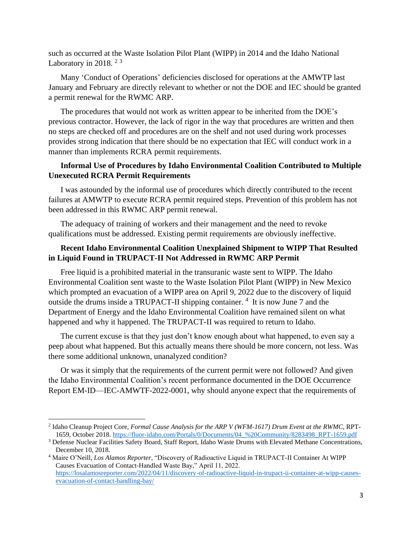such as occurred at the Waste Isolation Pilot Plant (WIPP) in 2014 and the Idaho National Laboratory in 2018.  $2^3$ 

Many 'Conduct of Operations' deficiencies disclosed for operations at the AMWTP last January and February are directly relevant to whether or not the DOE and IEC should be granted a permit renewal for the RWMC ARP.

The procedures that would not work as written appear to be inherited from the DOE's previous contractor. However, the lack of rigor in the way that procedures are written and then no steps are checked off and procedures are on the shelf and not used during work processes provides strong indication that there should be no expectation that IEC will conduct work in a manner than implements RCRA permit requirements.

# **Informal Use of Procedures by Idaho Environmental Coalition Contributed to Multiple Unexecuted RCRA Permit Requirements**

I was astounded by the informal use of procedures which directly contributed to the recent failures at AMWTP to execute RCRA permit required steps. Prevention of this problem has not been addressed in this RWMC ARP permit renewal.

The adequacy of training of workers and their management and the need to revoke qualifications must be addressed. Existing permit requirements are obviously ineffective.

## **Recent Idaho Environmental Coalition Unexplained Shipment to WIPP That Resulted in Liquid Found in TRUPACT-II Not Addressed in RWMC ARP Permit**

Free liquid is a prohibited material in the transuranic waste sent to WIPP. The Idaho Environmental Coalition sent waste to the Waste Isolation Pilot Plant (WIPP) in New Mexico which prompted an evacuation of a WIPP area on April 9, 2022 due to the discovery of liquid outside the drums inside a TRUPACT-II shipping container.<sup>4</sup> It is now June 7 and the Department of Energy and the Idaho Environmental Coalition have remained silent on what happened and why it happened. The TRUPACT-II was required to return to Idaho.

The current excuse is that they just don't know enough about what happened, to even say a peep about what happened. But this actually means there should be more concern, not less. Was there some additional unknown, unanalyzed condition?

Or was it simply that the requirements of the current permit were not followed? And given the Idaho Environmental Coalition's recent performance documented in the DOE Occurrence Report EM-ID—IEC-AMWTF-2022-0001, why should anyone expect that the requirements of

<sup>2</sup> Idaho Cleanup Project Core, *Formal Cause Analysis for the ARP V (WFM-1617) Drum Event at the RWMC*, RPT-1659, October 2018[. https://fluor-idaho.com/Portals/0/Documents/04\\_%20Community/8283498\\_RPT-1659.pdf](https://fluor-idaho.com/Portals/0/Documents/04_%20Community/8283498_RPT-1659.pdf)

<sup>3</sup> Defense Nuclear Facilities Safety Board, Staff Report, Idaho Waste Drums with Elevated Methane Concentrations, December 10, 2018.

<sup>4</sup> Maire O'Neill, *Los Alamos Reporter*, "Discovery of Radioactive Liquid in TRUPACT-II Container At WIPP Causes Evacuation of Contact-Handled Waste Bay," April 11, 2022. [https://losalamosreporter.com/2022/04/11/discovery-of-radioactive-liquid-in-trupact-ii-container-at-wipp-causes](https://losalamosreporter.com/2022/04/11/discovery-of-radioactive-liquid-in-trupact-ii-container-at-wipp-causes-evacuation-of-contact-handling-bay/)[evacuation-of-contact-handling-bay/](https://losalamosreporter.com/2022/04/11/discovery-of-radioactive-liquid-in-trupact-ii-container-at-wipp-causes-evacuation-of-contact-handling-bay/)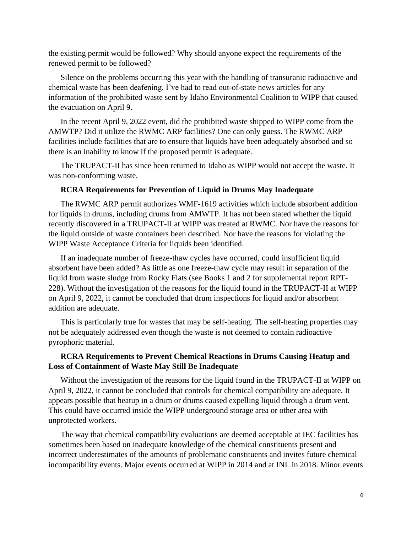the existing permit would be followed? Why should anyone expect the requirements of the renewed permit to be followed?

Silence on the problems occurring this year with the handling of transuranic radioactive and chemical waste has been deafening. I've had to read out-of-state news articles for any information of the prohibited waste sent by Idaho Environmental Coalition to WIPP that caused the evacuation on April 9.

In the recent April 9, 2022 event, did the prohibited waste shipped to WIPP come from the AMWTP? Did it utilize the RWMC ARP facilities? One can only guess. The RWMC ARP facilities include facilities that are to ensure that liquids have been adequately absorbed and so there is an inability to know if the proposed permit is adequate.

The TRUPACT-II has since been returned to Idaho as WIPP would not accept the waste. It was non-conforming waste.

#### **RCRA Requirements for Prevention of Liquid in Drums May Inadequate**

The RWMC ARP permit authorizes WMF-1619 activities which include absorbent addition for liquids in drums, including drums from AMWTP. It has not been stated whether the liquid recently discovered in a TRUPACT-II at WIPP was treated at RWMC. Nor have the reasons for the liquid outside of waste containers been described. Nor have the reasons for violating the WIPP Waste Acceptance Criteria for liquids been identified.

If an inadequate number of freeze-thaw cycles have occurred, could insufficient liquid absorbent have been added? As little as one freeze-thaw cycle may result in separation of the liquid from waste sludge from Rocky Flats (see Books 1 and 2 for supplemental report RPT-228). Without the investigation of the reasons for the liquid found in the TRUPACT-II at WIPP on April 9, 2022, it cannot be concluded that drum inspections for liquid and/or absorbent addition are adequate.

This is particularly true for wastes that may be self-heating. The self-heating properties may not be adequately addressed even though the waste is not deemed to contain radioactive pyrophoric material.

## **RCRA Requirements to Prevent Chemical Reactions in Drums Causing Heatup and Loss of Containment of Waste May Still Be Inadequate**

Without the investigation of the reasons for the liquid found in the TRUPACT-II at WIPP on April 9, 2022, it cannot be concluded that controls for chemical compatibility are adequate. It appears possible that heatup in a drum or drums caused expelling liquid through a drum vent. This could have occurred inside the WIPP underground storage area or other area with unprotected workers.

The way that chemical compatibility evaluations are deemed acceptable at IEC facilities has sometimes been based on inadequate knowledge of the chemical constituents present and incorrect underestimates of the amounts of problematic constituents and invites future chemical incompatibility events. Major events occurred at WIPP in 2014 and at INL in 2018. Minor events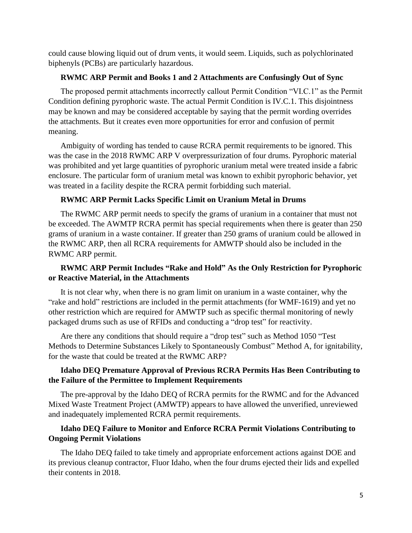could cause blowing liquid out of drum vents, it would seem. Liquids, such as polychlorinated biphenyls (PCBs) are particularly hazardous.

### **RWMC ARP Permit and Books 1 and 2 Attachments are Confusingly Out of Sync**

The proposed permit attachments incorrectly callout Permit Condition "VI.C.1" as the Permit Condition defining pyrophoric waste. The actual Permit Condition is IV.C.1. This disjointness may be known and may be considered acceptable by saying that the permit wording overrides the attachments. But it creates even more opportunities for error and confusion of permit meaning.

Ambiguity of wording has tended to cause RCRA permit requirements to be ignored. This was the case in the 2018 RWMC ARP V overpressurization of four drums. Pyrophoric material was prohibited and yet large quantities of pyrophoric uranium metal were treated inside a fabric enclosure. The particular form of uranium metal was known to exhibit pyrophoric behavior, yet was treated in a facility despite the RCRA permit forbidding such material.

## **RWMC ARP Permit Lacks Specific Limit on Uranium Metal in Drums**

The RWMC ARP permit needs to specify the grams of uranium in a container that must not be exceeded. The AWMTP RCRA permit has special requirements when there is geater than 250 grams of uranium in a waste container. If greater than 250 grams of uranium could be allowed in the RWMC ARP, then all RCRA requirements for AMWTP should also be included in the RWMC ARP permit.

# **RWMC ARP Permit Includes "Rake and Hold" As the Only Restriction for Pyrophoric or Reactive Material, in the Attachments**

It is not clear why, when there is no gram limit on uranium in a waste container, why the "rake and hold" restrictions are included in the permit attachments (for WMF-1619) and yet no other restriction which are required for AMWTP such as specific thermal monitoring of newly packaged drums such as use of RFIDs and conducting a "drop test" for reactivity.

Are there any conditions that should require a "drop test" such as Method 1050 "Test Methods to Determine Substances Likely to Spontaneously Combust" Method A, for ignitability, for the waste that could be treated at the RWMC ARP?

# **Idaho DEQ Premature Approval of Previous RCRA Permits Has Been Contributing to the Failure of the Permittee to Implement Requirements**

The pre-approval by the Idaho DEQ of RCRA permits for the RWMC and for the Advanced Mixed Waste Treatment Project (AMWTP) appears to have allowed the unverified, unreviewed and inadequately implemented RCRA permit requirements.

# **Idaho DEQ Failure to Monitor and Enforce RCRA Permit Violations Contributing to Ongoing Permit Violations**

The Idaho DEQ failed to take timely and appropriate enforcement actions against DOE and its previous cleanup contractor, Fluor Idaho, when the four drums ejected their lids and expelled their contents in 2018.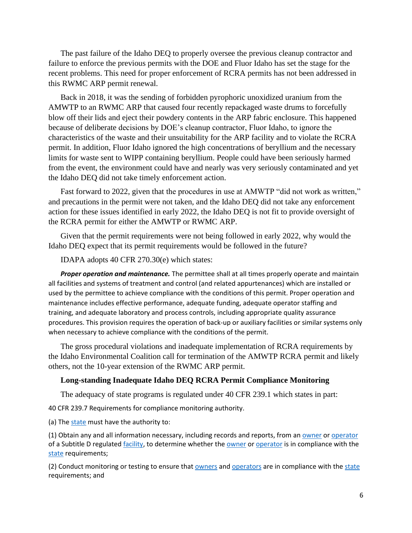The past failure of the Idaho DEQ to properly oversee the previous cleanup contractor and failure to enforce the previous permits with the DOE and Fluor Idaho has set the stage for the recent problems. This need for proper enforcement of RCRA permits has not been addressed in this RWMC ARP permit renewal.

Back in 2018, it was the sending of forbidden pyrophoric unoxidized uranium from the AMWTP to an RWMC ARP that caused four recently repackaged waste drums to forcefully blow off their lids and eject their powdery contents in the ARP fabric enclosure. This happened because of deliberate decisions by DOE's cleanup contractor, Fluor Idaho, to ignore the characteristics of the waste and their unsuitability for the ARP facility and to violate the RCRA permit. In addition, Fluor Idaho ignored the high concentrations of beryllium and the necessary limits for waste sent to WIPP containing beryllium. People could have been seriously harmed from the event, the environment could have and nearly was very seriously contaminated and yet the Idaho DEQ did not take timely enforcement action.

Fast forward to 2022, given that the procedures in use at AMWTP "did not work as written," and precautions in the permit were not taken, and the Idaho DEQ did not take any enforcement action for these issues identified in early 2022, the Idaho DEQ is not fit to provide oversight of the RCRA permit for either the AMWTP or RWMC ARP.

Given that the permit requirements were not being followed in early 2022, why would the Idaho DEQ expect that its permit requirements would be followed in the future?

IDAPA adopts 40 CFR 270.30(e) which states:

*Proper operation and maintenance.* The permittee shall at all times properly operate and maintain all facilities and systems of treatment and control (and related appurtenances) which are installed or used by the permittee to achieve compliance with the conditions of this permit. Proper operation and maintenance includes effective performance, adequate funding, adequate operator staffing and training, and adequate laboratory and process controls, including appropriate quality assurance procedures. This provision requires the operation of back-up or auxiliary facilities or similar systems only when necessary to achieve compliance with the conditions of the permit.

The gross procedural violations and inadequate implementation of RCRA requirements by the Idaho Environmental Coalition call for termination of the AMWTP RCRA permit and likely others, not the 10-year extension of the RWMC ARP permit.

#### **Long-standing Inadequate Idaho DEQ RCRA Permit Compliance Monitoring**

The adequacy of state programs is regulated under 40 CFR 239.1 which states in part:

40 CFR 239.7 Requirements for compliance monitoring authority.

(a) Th[e state](https://www.law.cornell.edu/definitions/index.php?width=840&height=800&iframe=true&def_id=02f3388cbddab8d1c8b68bc12f7066f2&term_occur=999&term_src=Title:40:Chapter:I:Subchapter:I:Part:239:Subpart:C:239.7) must have the authority to:

(1) Obtain any and all information necessary, including records and reports, from an [owner](https://www.law.cornell.edu/definitions/index.php?width=840&height=800&iframe=true&def_id=85003a7ae8fe56e5eee9420b19f758d6&term_occur=999&term_src=Title:40:Chapter:I:Subchapter:I:Part:239:Subpart:C:239.7) o[r operator](https://www.law.cornell.edu/definitions/index.php?width=840&height=800&iframe=true&def_id=0df3b20100d24c91ef2d3bc3f665d130&term_occur=999&term_src=Title:40:Chapter:I:Subchapter:I:Part:239:Subpart:C:239.7) of a Subtitle D regulated [facility,](https://www.law.cornell.edu/definitions/index.php?width=840&height=800&iframe=true&def_id=c4adae0dbaa36c9a953568c5cd292e90&term_occur=999&term_src=Title:40:Chapter:I:Subchapter:I:Part:239:Subpart:C:239.7) to determine whether the [owner](https://www.law.cornell.edu/definitions/index.php?width=840&height=800&iframe=true&def_id=85003a7ae8fe56e5eee9420b19f758d6&term_occur=999&term_src=Title:40:Chapter:I:Subchapter:I:Part:239:Subpart:C:239.7) o[r operator](https://www.law.cornell.edu/definitions/index.php?width=840&height=800&iframe=true&def_id=0df3b20100d24c91ef2d3bc3f665d130&term_occur=999&term_src=Title:40:Chapter:I:Subchapter:I:Part:239:Subpart:C:239.7) is in compliance with the [state](https://www.law.cornell.edu/definitions/index.php?width=840&height=800&iframe=true&def_id=02f3388cbddab8d1c8b68bc12f7066f2&term_occur=999&term_src=Title:40:Chapter:I:Subchapter:I:Part:239:Subpart:C:239.7) requirements;

(2) Conduct monitoring or testing to ensure that [owners](https://www.law.cornell.edu/definitions/index.php?width=840&height=800&iframe=true&def_id=85003a7ae8fe56e5eee9420b19f758d6&term_occur=999&term_src=Title:40:Chapter:I:Subchapter:I:Part:239:Subpart:C:239.7) and [operators](https://www.law.cornell.edu/definitions/index.php?width=840&height=800&iframe=true&def_id=0df3b20100d24c91ef2d3bc3f665d130&term_occur=999&term_src=Title:40:Chapter:I:Subchapter:I:Part:239:Subpart:C:239.7) are in compliance with th[e state](https://www.law.cornell.edu/definitions/index.php?width=840&height=800&iframe=true&def_id=02f3388cbddab8d1c8b68bc12f7066f2&term_occur=999&term_src=Title:40:Chapter:I:Subchapter:I:Part:239:Subpart:C:239.7) requirements; and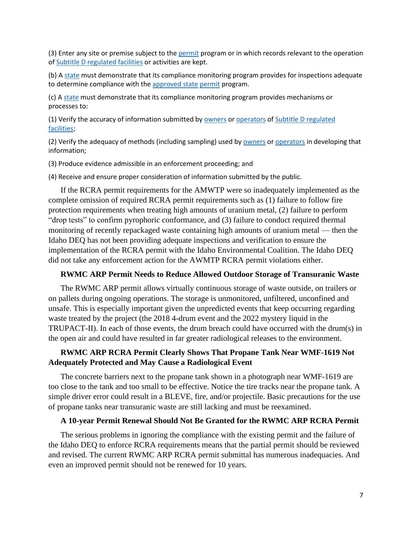(3) Enter any site or premise subject to the [permit](https://www.law.cornell.edu/definitions/index.php?width=840&height=800&iframe=true&def_id=bc67ec41981ac449806e836c1ec46dc3&term_occur=999&term_src=Title:40:Chapter:I:Subchapter:I:Part:239:Subpart:C:239.7) program or in which records relevant to the operation o[f Subtitle D regulated facilities](https://www.law.cornell.edu/definitions/index.php?width=840&height=800&iframe=true&def_id=4a266c24e73d4290607b78900ae30d5f&term_occur=999&term_src=Title:40:Chapter:I:Subchapter:I:Part:239:Subpart:C:239.7) or activities are kept.

(b) A [state](https://www.law.cornell.edu/definitions/index.php?width=840&height=800&iframe=true&def_id=02f3388cbddab8d1c8b68bc12f7066f2&term_occur=999&term_src=Title:40:Chapter:I:Subchapter:I:Part:239:Subpart:C:239.7) must demonstrate that its compliance monitoring program provides for inspections adequate to determine compliance with the [approved state](https://www.law.cornell.edu/definitions/index.php?width=840&height=800&iframe=true&def_id=ee712133b984170d8cb6b87016f2e3cc&term_occur=999&term_src=Title:40:Chapter:I:Subchapter:I:Part:239:Subpart:C:239.7) [permit](https://www.law.cornell.edu/definitions/index.php?width=840&height=800&iframe=true&def_id=bc67ec41981ac449806e836c1ec46dc3&term_occur=999&term_src=Title:40:Chapter:I:Subchapter:I:Part:239:Subpart:C:239.7) program.

(c) [A state](https://www.law.cornell.edu/definitions/index.php?width=840&height=800&iframe=true&def_id=02f3388cbddab8d1c8b68bc12f7066f2&term_occur=999&term_src=Title:40:Chapter:I:Subchapter:I:Part:239:Subpart:C:239.7) must demonstrate that its compliance monitoring program provides mechanisms or processes to:

(1) Verify the accuracy of information submitted b[y owners](https://www.law.cornell.edu/definitions/index.php?width=840&height=800&iframe=true&def_id=85003a7ae8fe56e5eee9420b19f758d6&term_occur=999&term_src=Title:40:Chapter:I:Subchapter:I:Part:239:Subpart:C:239.7) or [operators](https://www.law.cornell.edu/definitions/index.php?width=840&height=800&iframe=true&def_id=0df3b20100d24c91ef2d3bc3f665d130&term_occur=999&term_src=Title:40:Chapter:I:Subchapter:I:Part:239:Subpart:C:239.7) of [Subtitle D regulated](https://www.law.cornell.edu/definitions/index.php?width=840&height=800&iframe=true&def_id=4a266c24e73d4290607b78900ae30d5f&term_occur=999&term_src=Title:40:Chapter:I:Subchapter:I:Part:239:Subpart:C:239.7)  [facilities;](https://www.law.cornell.edu/definitions/index.php?width=840&height=800&iframe=true&def_id=4a266c24e73d4290607b78900ae30d5f&term_occur=999&term_src=Title:40:Chapter:I:Subchapter:I:Part:239:Subpart:C:239.7)

(2) Verify the adequacy of methods (including sampling) used b[y owners](https://www.law.cornell.edu/definitions/index.php?width=840&height=800&iframe=true&def_id=85003a7ae8fe56e5eee9420b19f758d6&term_occur=999&term_src=Title:40:Chapter:I:Subchapter:I:Part:239:Subpart:C:239.7) or [operators](https://www.law.cornell.edu/definitions/index.php?width=840&height=800&iframe=true&def_id=0df3b20100d24c91ef2d3bc3f665d130&term_occur=999&term_src=Title:40:Chapter:I:Subchapter:I:Part:239:Subpart:C:239.7) in developing that information;

(3) Produce evidence admissible in an enforcement proceeding; and

(4) Receive and ensure proper consideration of information submitted by the public.

If the RCRA permit requirements for the AMWTP were so inadequately implemented as the complete omission of required RCRA permit requirements such as (1) failure to follow fire protection requirements when treating high amounts of uranium metal, (2) failure to perform "drop tests" to confirm pyrophoric conformance, and (3) failure to conduct required thermal monitoring of recently repackaged waste containing high amounts of uranium metal — then the Idaho DEQ has not been providing adequate inspections and verification to ensure the implementation of the RCRA permit with the Idaho Environmental Coalition. The Idaho DEQ did not take any enforcement action for the AWMTP RCRA permit violations either.

#### **RWMC ARP Permit Needs to Reduce Allowed Outdoor Storage of Transuranic Waste**

The RWMC ARP permit allows virtually continuous storage of waste outside, on trailers or on pallets during ongoing operations. The storage is unmonitored, unfiltered, unconfined and unsafe. This is especially important given the unpredicted events that keep occurring regarding waste treated by the project (the 2018 4-drum event and the 2022 mystery liquid in the TRUPACT-II). In each of those events, the drum breach could have occurred with the drum(s) in the open air and could have resulted in far greater radiological releases to the environment.

### **RWMC ARP RCRA Permit Clearly Shows That Propane Tank Near WMF-1619 Not Adequately Protected and May Cause a Radiological Event**

The concrete barriers next to the propane tank shown in a photograph near WMF-1619 are too close to the tank and too small to be effective. Notice the tire tracks near the propane tank. A simple driver error could result in a BLEVE, fire, and/or projectile. Basic precautions for the use of propane tanks near transuranic waste are still lacking and must be reexamined.

#### **A 10-year Permit Renewal Should Not Be Granted for the RWMC ARP RCRA Permit**

The serious problems in ignoring the compliance with the existing permit and the failure of the Idaho DEQ to enforce RCRA requirements means that the partial permit should be reviewed and revised. The current RWMC ARP RCRA permit submittal has numerous inadequacies. And even an improved permit should not be renewed for 10 years.